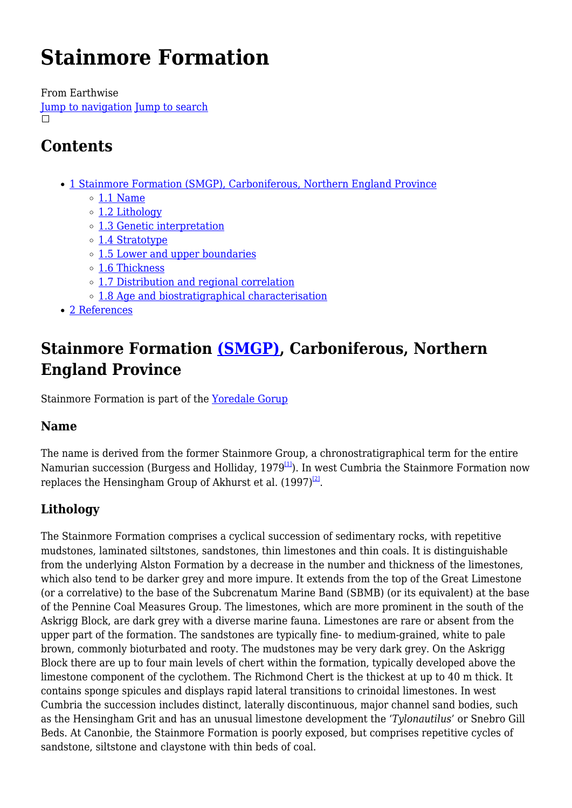# **Stainmore Formation**

From Earthwise [Jump to navigation](#page--1-0) [Jump to search](#page--1-0)  $\Box$ 

# **Contents**

- [1](#Stainmore_Formation_.28SMGP.29.2C_Carboniferous.2C_Northern_England_Province) [Stainmore Formation \(SMGP\), Carboniferous, Northern England Province](#Stainmore_Formation_.28SMGP.29.2C_Carboniferous.2C_Northern_England_Province)
	- $\circ$  [1.1](#page--1-0) [Name](#page--1-0)
	- o [1.2](#page--1-0) [Lithology](#page--1-0)
	- [1.3](#page--1-0) [Genetic interpretation](#page--1-0)
	- [1.4](#page--1-0) [Stratotype](#page--1-0)
	- [1.5](#page--1-0) [Lower and upper boundaries](#page--1-0)
	- [1.6](#page--1-0) [Thickness](#page--1-0)
	- [1.7](#page--1-0) [Distribution and regional correlation](#page--1-0)
	- [1.8](#page--1-0) [Age and biostratigraphical characterisation](#page--1-0)
- [2](#page--1-0) [References](#page--1-0)

# **Stainmore Formation [\(SMGP\)](http://www.bgs.ac.uk/lexicon/lexicon.cfm?pub=SMGP), Carboniferous, Northern England Province**

Stainmore Formation is part of the [Yoredale Gorup](http://earthwise.bgs.ac.uk/index.php?title=Yoredale_Gorup&action=edit&redlink=1)

### **Name**

The name is derived from the former Stainmore Group, a chronostratigraphical term for the entire Namurian succession (Burgess and Holliday, 1979 $\overline{11}$ ). In west Cumbria the Stainmore Formation now replaces the Hensingham Group of Akhurst et al.  $(1997)^{\boxtimes}$ .

# **Lithology**

The Stainmore Formation comprises a cyclical succession of sedimentary rocks, with repetitive mudstones, laminated siltstones, sandstones, thin limestones and thin coals. It is distinguishable from the underlying Alston Formation by a decrease in the number and thickness of the limestones, which also tend to be darker grey and more impure. It extends from the top of the Great Limestone (or a correlative) to the base of the Subcrenatum Marine Band (SBMB) (or its equivalent) at the base of the Pennine Coal Measures Group. The limestones, which are more prominent in the south of the Askrigg Block, are dark grey with a diverse marine fauna. Limestones are rare or absent from the upper part of the formation. The sandstones are typically fine- to medium-grained, white to pale brown, commonly bioturbated and rooty. The mudstones may be very dark grey. On the Askrigg Block there are up to four main levels of chert within the formation, typically developed above the limestone component of the cyclothem. The Richmond Chert is the thickest at up to 40 m thick. It contains sponge spicules and displays rapid lateral transitions to crinoidal limestones. In west Cumbria the succession includes distinct, laterally discontinuous, major channel sand bodies, such as the Hensingham Grit and has an unusual limestone development the '*Tylonautilus*' or Snebro Gill Beds. At Canonbie, the Stainmore Formation is poorly exposed, but comprises repetitive cycles of sandstone, siltstone and claystone with thin beds of coal.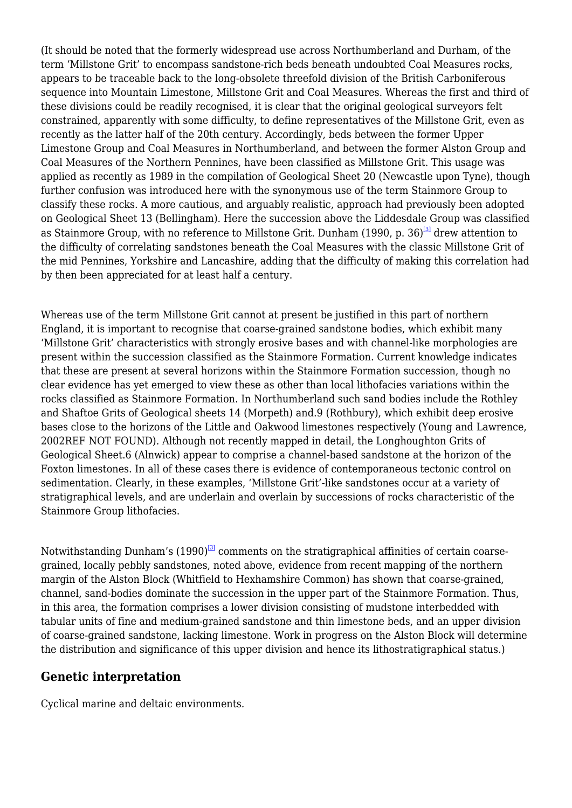(It should be noted that the formerly widespread use across Northumberland and Durham, of the term 'Millstone Grit' to encompass sandstone-rich beds beneath undoubted Coal Measures rocks, appears to be traceable back to the long-obsolete threefold division of the British Carboniferous sequence into Mountain Limestone, Millstone Grit and Coal Measures. Whereas the first and third of these divisions could be readily recognised, it is clear that the original geological surveyors felt constrained, apparently with some difficulty, to define representatives of the Millstone Grit, even as recently as the latter half of the 20th century. Accordingly, beds between the former Upper Limestone Group and Coal Measures in Northumberland, and between the former Alston Group and Coal Measures of the Northern Pennines, have been classified as Millstone Grit. This usage was applied as recently as 1989 in the compilation of Geological Sheet 20 (Newcastle upon Tyne), though further confusion was introduced here with the synonymous use of the term Stainmore Group to classify these rocks. A more cautious, and arguably realistic, approach had previously been adopted on Geological Sheet 13 (Bellingham). Here the succession above the Liddesdale Group was classified as Stainmore Group, with no reference to Millstone Grit. Dunham (1990, p. 36)<sup>[\[3\]](#page--1-0)</sup> drew attention to the difficulty of correlating sandstones beneath the Coal Measures with the classic Millstone Grit of the mid Pennines, Yorkshire and Lancashire, adding that the difficulty of making this correlation had by then been appreciated for at least half a century.

Whereas use of the term Millstone Grit cannot at present be justified in this part of northern England, it is important to recognise that coarse-grained sandstone bodies, which exhibit many 'Millstone Grit' characteristics with strongly erosive bases and with channel-like morphologies are present within the succession classified as the Stainmore Formation. Current knowledge indicates that these are present at several horizons within the Stainmore Formation succession, though no clear evidence has yet emerged to view these as other than local lithofacies variations within the rocks classified as Stainmore Formation. In Northumberland such sand bodies include the Rothley and Shaftoe Grits of Geological sheets 14 (Morpeth) and.9 (Rothbury), which exhibit deep erosive bases close to the horizons of the Little and Oakwood limestones respectively (Young and Lawrence, 2002REF NOT FOUND). Although not recently mapped in detail, the Longhoughton Grits of Geological Sheet.6 (Alnwick) appear to comprise a channel-based sandstone at the horizon of the Foxton limestones. In all of these cases there is evidence of contemporaneous tectonic control on sedimentation. Clearly, in these examples, 'Millstone Grit'-like sandstones occur at a variety of stratigraphical levels, and are underlain and overlain by successions of rocks characteristic of the Stainmore Group lithofacies.

Notwithstanding Dunham's  $(1990)^{3}$  comments on the stratigraphical affinities of certain coarsegrained, locally pebbly sandstones, noted above, evidence from recent mapping of the northern margin of the Alston Block (Whitfield to Hexhamshire Common) has shown that coarse-grained, channel, sand-bodies dominate the succession in the upper part of the Stainmore Formation. Thus, in this area, the formation comprises a lower division consisting of mudstone interbedded with tabular units of fine and medium-grained sandstone and thin limestone beds, and an upper division of coarse-grained sandstone, lacking limestone. Work in progress on the Alston Block will determine the distribution and significance of this upper division and hence its lithostratigraphical status.)

#### **Genetic interpretation**

Cyclical marine and deltaic environments.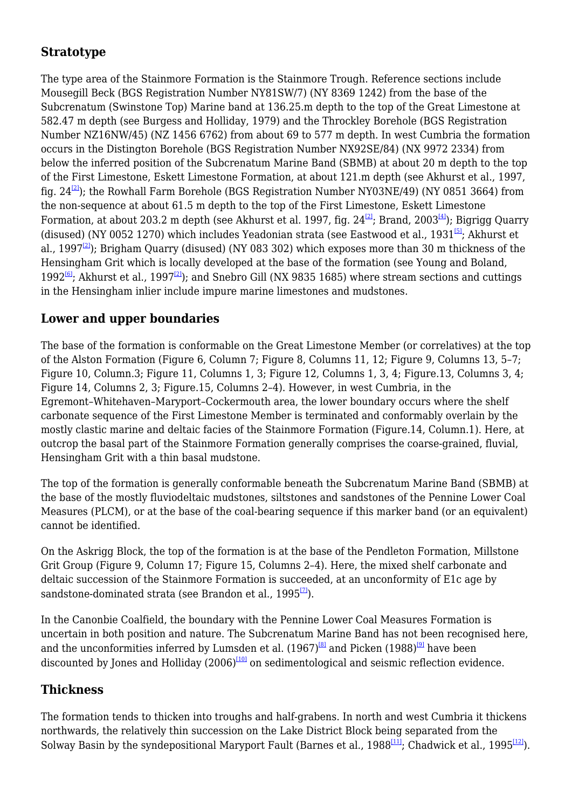### **Stratotype**

The type area of the Stainmore Formation is the Stainmore Trough. Reference sections include Mousegill Beck (BGS Registration Number NY81SW/7) (NY 8369 1242) from the base of the Subcrenatum (Swinstone Top) Marine band at 136.25.m depth to the top of the Great Limestone at 582.47 m depth (see Burgess and Holliday, 1979) and the Throckley Borehole (BGS Registration Number NZ16NW/45) (NZ 1456 6762) from about 69 to 577 m depth. In west Cumbria the formation occurs in the Distington Borehole (BGS Registration Number NX92SE/84) (NX 9972 2334) from below the inferred position of the Subcrenatum Marine Band (SBMB) at about 20 m depth to the top of the First Limestone, Eskett Limestone Formation, at about 121.m depth (see Akhurst et al., 1997, fig.  $24^{[2]}$  $24^{[2]}$  $24^{[2]}$ ; the Rowhall Farm Borehole (BGS Registration Number NY03NE/49) (NY 0851 3664) from the non-sequence at about 61.5 m depth to the top of the First Limestone, Eskett Limestone Formation, at about 203.2 m depth (see Akhurst et al. 1997, fig.  $24^{2}$ ; Brand, 2003<sup>[\[4\]](#page--1-0)</sup>); Bigrigg Quarry (disused) (NY 0052 1270) which includes Yeadonian strata (see Eastwood et al., 1931<sup>[\[5\]](#page--1-0)</sup>; Akhurst et al., 1997<sup>[\[2\]](#page--1-0)</sup>); Brigham Quarry (disused) (NY 083 302) which exposes more than 30 m thickness of the Hensingham Grit which is locally developed at the base of the formation (see Young and Boland, 1992<sup>[\[6\]](#page--1-0)</sup>; Akhurst et al., 1997<sup>[\[2\]](#page--1-0)</sup>); and Snebro Gill (NX 9835 1685) where stream sections and cuttings in the Hensingham inlier include impure marine limestones and mudstones.

### **Lower and upper boundaries**

The base of the formation is conformable on the Great Limestone Member (or correlatives) at the top of the Alston Formation (Figure 6, Column 7; Figure 8, Columns 11, 12; Figure 9, Columns 13, 5–7; Figure 10, Column.3; Figure 11, Columns 1, 3; Figure 12, Columns 1, 3, 4; Figure.13, Columns 3, 4; Figure 14, Columns 2, 3; Figure.15, Columns 2–4). However, in west Cumbria, in the Egremont–Whitehaven–Maryport–Cockermouth area, the lower boundary occurs where the shelf carbonate sequence of the First Limestone Member is terminated and conformably overlain by the mostly clastic marine and deltaic facies of the Stainmore Formation (Figure.14, Column.1). Here, at outcrop the basal part of the Stainmore Formation generally comprises the coarse-grained, fluvial, Hensingham Grit with a thin basal mudstone.

The top of the formation is generally conformable beneath the Subcrenatum Marine Band (SBMB) at the base of the mostly fluviodeltaic mudstones, siltstones and sandstones of the Pennine Lower Coal Measures (PLCM), or at the base of the coal-bearing sequence if this marker band (or an equivalent) cannot be identified.

On the Askrigg Block, the top of the formation is at the base of the Pendleton Formation, Millstone Grit Group (Figure 9, Column 17; Figure 15, Columns 2–4). Here, the mixed shelf carbonate and deltaic succession of the Stainmore Formation is succeeded, at an unconformity of E1c age by sandstone-dominated strata (see Brandon et al.,  $1995^{[7]}$  $1995^{[7]}$  $1995^{[7]}$ ).

In the Canonbie Coalfield, the boundary with the Pennine Lower Coal Measures Formation is uncertain in both position and nature. The Subcrenatum Marine Band has not been recognised here, and the unconformities inferred by Lumsden et al.  $(1967)^{[8]}$  $(1967)^{[8]}$  $(1967)^{[8]}$  and Picken  $(1988)^{[9]}$  $(1988)^{[9]}$  $(1988)^{[9]}$  have been discounted by Jones and Holliday  $(2006)^{1101}$  on sedimentological and seismic reflection evidence.

### **Thickness**

The formation tends to thicken into troughs and half-grabens. In north and west Cumbria it thickens northwards, the relatively thin succession on the Lake District Block being separated from the Solway Basin by the syndepositional Maryport Fault (Barnes et al., 1988<sup>[\[11\]](#page--1-0)</sup>; Chadwick et al., 1995<sup>[\[12\]](#page--1-0)</sup>).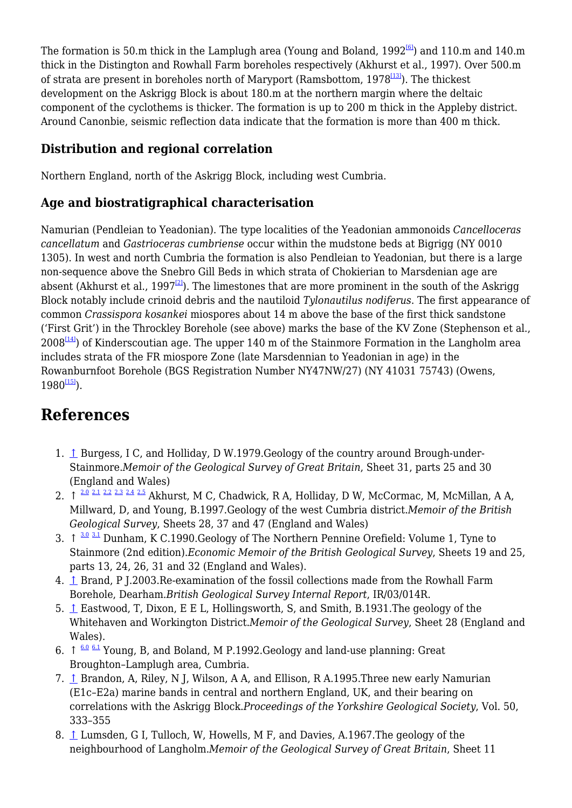The formation is 50.m thick in the Lamplugh area (Young and Boland,  $1992^{6}$ ) and 110.m and 140.m thick in the Distington and Rowhall Farm boreholes respectively (Akhurst et al., 1997). Over 500.m of strata are present in boreholes north of Maryport (Ramsbottom,  $1978^{[13]}$  $1978^{[13]}$  $1978^{[13]}$ ). The thickest development on the Askrigg Block is about 180.m at the northern margin where the deltaic component of the cyclothems is thicker. The formation is up to 200 m thick in the Appleby district. Around Canonbie, seismic reflection data indicate that the formation is more than 400 m thick.

### **Distribution and regional correlation**

Northern England, north of the Askrigg Block, including west Cumbria.

### **Age and biostratigraphical characterisation**

Namurian (Pendleian to Yeadonian). The type localities of the Yeadonian ammonoids *Cancelloceras cancellatum* and *Gastrioceras cumbriense* occur within the mudstone beds at Bigrigg (NY 0010 1305). In west and north Cumbria the formation is also Pendleian to Yeadonian, but there is a large non-sequence above the Snebro Gill Beds in which strata of Chokierian to Marsdenian age are absent (Akhurst et al., 1997<sup>[\[2\]](#page--1-0)</sup>). The limestones that are more prominent in the south of the Askrigg Block notably include crinoid debris and the nautiloid *Tylonautilus nodiferus*. The first appearance of common *Crassispora kosankei* miospores about 14 m above the base of the first thick sandstone ('First Grit') in the Throckley Borehole (see above) marks the base of the KV Zone (Stephenson et al.,  $2008^{[14]}$  $2008^{[14]}$  $2008^{[14]}$ ) of Kinderscoutian age. The upper 140 m of the Stainmore Formation in the Langholm area includes strata of the FR miospore Zone (late Marsdennian to Yeadonian in age) in the Rowanburnfoot Borehole (BGS Registration Number NY47NW/27) (NY 41031 75743) (Owens,  $1980^{115}$ .

# **References**

- 1. [↑](#page--1-0) Burgess, I C, and Holliday, D W.1979.Geology of the country around Brough-under-Stainmore.*Memoir of the Geological Survey of Great Britain*, Sheet 31, parts 25 and 30 (England and Wales)
- 2.  $\uparrow$   $\frac{2.0}{2.1}$  $\frac{2.0}{2.1}$  $\frac{2.0}{2.1}$  $\frac{2.0}{2.1}$  $\frac{2.0}{2.1}$   $\frac{2.2}{2.2}$  $\frac{2.2}{2.2}$  $\frac{2.2}{2.2}$   $\frac{2.3}{2.4}$  $\frac{2.3}{2.4}$  $\frac{2.3}{2.4}$  $\frac{2.3}{2.4}$  $\frac{2.3}{2.4}$   $\frac{2.5}{2.5}$  $\frac{2.5}{2.5}$  $\frac{2.5}{2.5}$  Akhurst, M C, Chadwick, R A, Holliday, D W, McCormac, M, McMillan, A A, Millward, D, and Young, B.1997.Geology of the west Cumbria district.*Memoir of the British Geological Survey*, Sheets 28, 37 and 47 (England and Wales)
- 3.  $\uparrow$   $\frac{3.0 \text{ } 3.1 \text{ }}{2}$  $\frac{3.0 \text{ } 3.1 \text{ }}{2}$  $\frac{3.0 \text{ } 3.1 \text{ }}{2}$  $\frac{3.0 \text{ } 3.1 \text{ }}{2}$  $\frac{3.0 \text{ } 3.1 \text{ }}{2}$  Dunham, K C.1990.Geology of The Northern Pennine Orefield: Volume 1, Tyne to Stainmore (2nd edition).*Economic Memoir of the British Geological Survey*, Sheets 19 and 25, parts 13, 24, 26, 31 and 32 (England and Wales).
- 4. [↑](#page--1-0) Brand, P J.2003.Re-examination of the fossil collections made from the Rowhall Farm Borehole, Dearham.*British Geological Survey Internal Report*, IR/03/014R.
- 5. [↑](#page--1-0) Eastwood, T, Dixon, E E L, Hollingsworth, S, and Smith, B.1931.The geology of the Whitehaven and Workington District.*Memoir of the Geological Survey*, Sheet 28 (England and Wales).
- 6.  $\uparrow$   $6.0$   $6.1$  Young, B, and Boland, M P.1992. Geology and land-use planning: Great Broughton–Lamplugh area, Cumbria.
- 7. [↑](#page--1-0) Brandon, A, Riley, N J, Wilson, A A, and Ellison, R A.1995.Three new early Namurian (E1c–E2a) marine bands in central and northern England, UK, and their bearing on correlations with the Askrigg Block.*Proceedings of the Yorkshire Geological Society*, Vol. 50, 333–355
- 8. [↑](#page--1-0) Lumsden, G I, Tulloch, W, Howells, M F, and Davies, A.1967.The geology of the neighbourhood of Langholm.*Memoir of the Geological Survey of Great Britain*, Sheet 11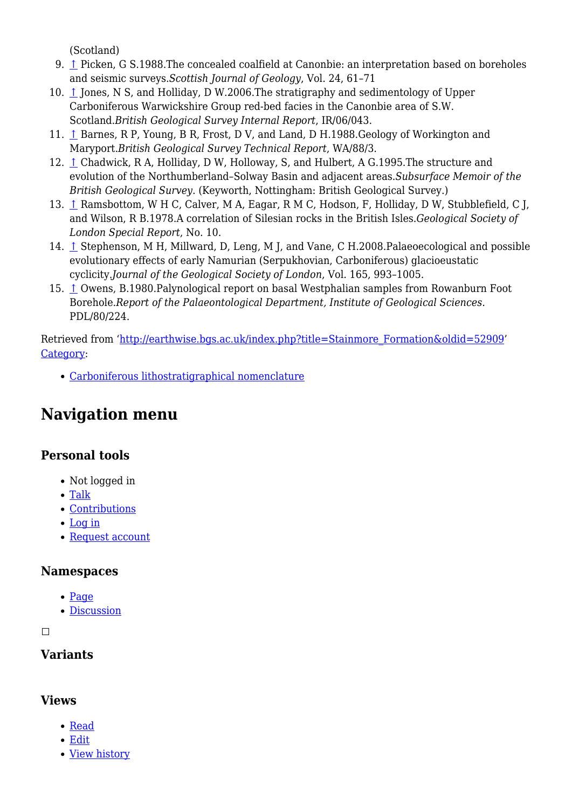(Scotland)

- 9. [↑](#page--1-0) Picken, G S.1988.The concealed coalfield at Canonbie: an interpretation based on boreholes and seismic surveys.*Scottish Journal of Geology*, Vol. 24, 61–71
- 10. [↑](#page--1-0) Jones, N S, and Holliday, D W.2006.The stratigraphy and sedimentology of Upper Carboniferous Warwickshire Group red-bed facies in the Canonbie area of S.W. Scotland.*British Geological Survey Internal Report*, IR/06/043.
- 11. [↑](#page--1-0) Barnes, R P, Young, B R, Frost, D V, and Land, D H.1988.Geology of Workington and Maryport.*British Geological Survey Technical Report*, WA/88/3.
- 12. [↑](#page--1-0) Chadwick, R A, Holliday, D W, Holloway, S, and Hulbert, A G.1995.The structure and evolution of the Northumberland–Solway Basin and adjacent areas.*Subsurface Memoir of the British Geological Survey*. (Keyworth, Nottingham: British Geological Survey.)
- 13. [↑](#page--1-0) Ramsbottom, W H C, Calver, M A, Eagar, R M C, Hodson, F, Holliday, D W, Stubblefield, C J, and Wilson, R B.1978.A correlation of Silesian rocks in the British Isles.*Geological Society of London Special Report*, No. 10.
- 14. [↑](#page--1-0) Stephenson, M H, Millward, D, Leng, M J, and Vane, C H.2008.Palaeoecological and possible evolutionary effects of early Namurian (Serpukhovian, Carboniferous) glacioeustatic cyclicity.*Journal of the Geological Society of London*, Vol. 165, 993–1005.
- 15. [↑](#page--1-0) Owens, B.1980.Palynological report on basal Westphalian samples from Rowanburn Foot Borehole.*Report of the Palaeontological Department, Institute of Geological Sciences*. PDL/80/224.

Retrieved from ['http://earthwise.bgs.ac.uk/index.php?title=Stainmore\\_Formation&oldid=52909](http://earthwise.bgs.ac.uk/index.php?title=Stainmore_Formation&oldid=52909)' [Category](http://earthwise.bgs.ac.uk/index.php/Special:Categories):

[Carboniferous lithostratigraphical nomenclature](http://earthwise.bgs.ac.uk/index.php/Category:Carboniferous_lithostratigraphical_nomenclature)

# **Navigation menu**

### **Personal tools**

- Not logged in
- [Talk](http://earthwise.bgs.ac.uk/index.php/Special:MyTalk)
- [Contributions](http://earthwise.bgs.ac.uk/index.php/Special:MyContributions)
- [Log in](http://earthwise.bgs.ac.uk/index.php?title=Special:UserLogin&returnto=Stainmore+Formation&returntoquery=action%3Dmpdf)
- [Request account](http://earthwise.bgs.ac.uk/index.php/Special:RequestAccount)

### **Namespaces**

- [Page](http://earthwise.bgs.ac.uk/index.php/Stainmore_Formation)
- [Discussion](http://earthwise.bgs.ac.uk/index.php?title=Talk:Stainmore_Formation&action=edit&redlink=1)

 $\Box$ 

# **Variants**

### **Views**

- [Read](http://earthwise.bgs.ac.uk/index.php/Stainmore_Formation)
- [Edit](http://earthwise.bgs.ac.uk/index.php?title=Stainmore_Formation&action=edit)
- [View history](http://earthwise.bgs.ac.uk/index.php?title=Stainmore_Formation&action=history)